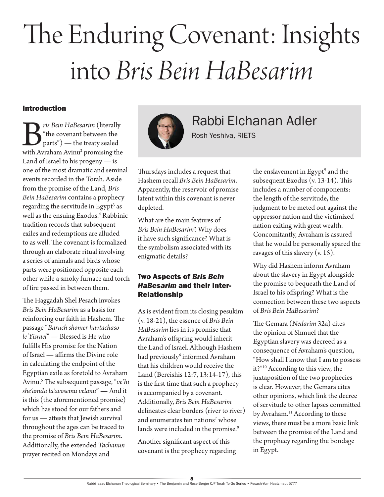# The Enduring Covenant: Insights into *Bris Bein HaBesarim*

#### Introduction

*ris Bein HaBesarim* (literally "the covenant between the parts") — the treaty sealed with Avraham Avinu<sup>2</sup> promising the "the covenant between the parts") — the treaty sealed with Avraham Avinu<sup>2</sup> promising the Land of Israel to his progeny — is one of the most dramatic and seminal events recorded in the Torah. Aside from the promise of the Land, *Bris Bein HaBesarim* contains a prophecy regarding the servitude in Egypt<sup>3</sup> as well as the ensuing Exodus.<sup>4</sup> Rabbinic tradition records that subsequent exiles and redemptions are alluded to as well. The covenant is formalized through an elaborate ritual involving a series of animals and birds whose parts were positioned opposite each other while a smoky furnace and torch of fire passed in between them.

The Haggadah Shel Pesach invokes *Bris Bein HaBesarim* as a basis for reinforcing our faith in Hashem. The passage "*Baruch shomer havtachaso le'Yisrael*" — Blessed is He who fulfills His promise for the Nation of Israel — affirms the Divine role in calculating the endpoint of the Egyptian exile as foretold to Avraham Avinu.<sup>5</sup> The subsequent passage, "*ve'hi she'amda la'avoseinu velanu*" — And it is this (the aforementioned promise) which has stood for our fathers and for us — attests that Jewish survival throughout the ages can be traced to the promise of *Bris Bein HaBesarim*. Additionally, the extended *Tachanun* prayer recited on Mondays and



Rabbi Elchanan Adler

Rosh Yeshiva, RIETS

Thursdays includes a request that Hashem recall *Bris Bein HaBesarim*. Apparently, the reservoir of promise latent within this covenant is never depleted.

What are the main features of *Bris Bein HaBesarim*? Why does it have such significance? What is the symbolism associated with its enigmatic details?

### Two Aspects of *Bris Bein HaBesarim* and their Inter-Relationship

As is evident from its closing pesukim (v. 18-21), the essence of *Bris Bein HaBesarim* lies in its promise that Avraham's offspring would inherit the Land of Israel. Although Hashem had previously<sup>6</sup> informed Avraham that his children would receive the Land (Bereishis 12:7, 13:14-17), this is the first time that such a prophecy is accompanied by a covenant. Additionally, *Bris Bein HaBesarim* delineates clear borders (river to river) and enumerates ten nations<sup>7</sup> whose lands were included in the promise.<sup>8</sup>

Another significant aspect of this covenant is the prophecy regarding

the enslavement in Egypt<sup>9</sup> and the subsequent Exodus (v. 13-14). This includes a number of components: the length of the servitude, the judgment to be meted out against the oppressor nation and the victimized nation exiting with great wealth. Concomitantly, Avraham is assured that he would be personally spared the ravages of this slavery (v. 15).

Why did Hashem inform Avraham about the slavery in Egypt alongside the promise to bequeath the Land of Israel to his offspring? What is the connection between these two aspects of *Bris Bein HaBesarim*?

The Gemara (*Nedarim* 32a) cites the opinion of Shmuel that the Egyptian slavery was decreed as a consequence of Avraham's question, "How shall I know that I am to possess it?"10 According to this view, the juxtaposition of the two prophecies is clear. However, the Gemara cites other opinions, which link the decree of servitude to other lapses committed by Avraham.<sup>11</sup> According to these views, there must be a more basic link between the promise of the Land and the prophecy regarding the bondage in Egypt.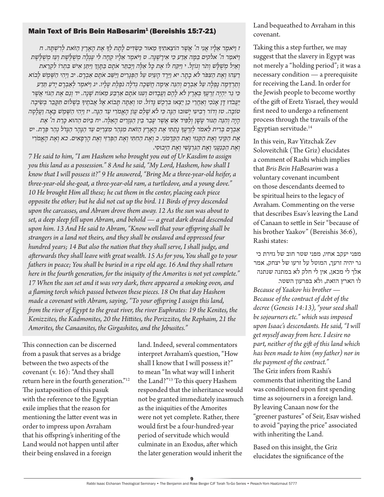#### Main Text of Bris Bein HaBesarim<sup>1</sup> (Bereishis 15:7-21)

*ז וַ יֹאמֶ ר אֵ לָ יו אֲ נִ י ה' אֲ שֶ ר הֹוצֵ אתִ יָך מֵ אּור כַ שְ דִ ים לָ תֶ ת לְ ָך אֶ ת הָ אָ רֶ ץ הַ זֹאת לְ רִ שְ תָ ּה. ח וַ יֹאמַ ר ה' אלקים בַ מָ ה אֵ דַ ע כִ י אִ ירָ שֶ נָ ה. ט וַ יֹאמֶ ר אֵ לָ יו קְ חָ ה לִ י עֶ גְ לָ ה מְ שֻ לֶ שֶ ת וְ עֵ ז מְ שֻ לֶ שֶ ת וְ אַ יִ ל מְ שֻ לָ ׁש וְ תֹר וְ גֹוזָ ל. י וַ יִקַ ח לֹו אֶ ת כָ ל אֵ לֶ ה וַ יְבַ תֵ ר אֹתָ ם בַ תָ וֶ ְך וַ יִ תֵ ן אִ יׁש בִ תְ רֹו לִ קְ רַ את רֵ עֵ הּו וְ אֶ ת הַ צִ פֹר לֹא בָ תָ ר. יא וַ יֵ רֶ ד הָ עַ יִ ט עַ ל הַ פְ גָ רִ ים וַ יַ שֵ ב אֹתָ ם אַ בְ רָ ם. יב וַ יְ הִ י הַ שֶ מֶ ׁש לָ בֹוא וְ תַ רְ דֵ מָ ה נָפְ לָ ה עַ ל אַ בְ רָ ם וְ הִ נֵ ה אֵ ימָ ה חֲ שֵ כָ ה גְ דֹלָ ה נֹפֶ לֶ ת עָ לָ יו. יג וַ יֹאמֶ ר לְ אַ בְ רָ ם יָ דֹעַ תֵ דַ ע כִ י גֵ ר יִ הְ יֶ ה זַ רְ עֲ ָך בְ אֶ רֶ ץ לֹא לָ הֶ ם וַ עֲ בָ דּום וְ עִ ּנּו אֹתָ ם אַ רְ בַ ע מֵ אֹות שָ נָ ה. יד וְ גַ ם אֶ ת הַ ּגֹוי אֲ שֶ ר*  יַעֲבֹדוּ דָן אַנֹכִי וְאַחֲרֵי כֵן יֵצְאוּ בִּרְכָשׁ גָּדוֹל. טו וְאַתָּה תָּבוֹא אֵל אֲבֹחֵיךָּ בִּשָׁלוֹם תִּקַּבֵר בִּשֵׂיבַה *טֹובָ ה. טז וְ דֹור רְ בִ יעִ י יָׁשּובּו הֵ נָ ה כִ י לֹא שָ לֵ ם עֲ וֹן הָ אֱ מֹרִ י עַ ד הֵ נָ ה. יז וַ יְ הִ י הַ שֶ מֶ ׁש בָ אָ ה וַ עֲ לָ טָ ה הָ יָ ה וְ הִ נֵ ה תַ ּנּור עָ שָ ן וְ לַ פִ יד אֵ ׁש אֲ שֶ ר עָ בַ ר בֵ ין הַ גְ זָ רִ ים הָ אֵ לֶ ה. יח בַ ּיֹום הַ הּוא כָ רַ ת ה' אֶ ת אַ בְ רָ ם בְ רִ ית לֵ אמֹר לְ זַ רְ עֲ ָך נָ תַ תִ י אֶ ת הָ אָ רֶ ץ הַ זֹאת מִ נְ הַ ר מִ צְ רַ יִ ם עַ ד הַ נָ הָ ר הַ גָ דֹל נְ הַ ר פְ רָ ת. יט אֶ ת הַ קֵ ינִ י וְ אֶ ת הַ קְ נִ זִ י וְ אֵ ת הַ קַ דְ מֹנִ י. כ וְ אֶ ת הַ חִ תִ י וְ אֶ ת הַ פְ רִ זִ י וְ אֶ ת הָ רְ פָ אִ ים. כא וְ אֶ ת הָ אֱ מֹרִ י וְ אֶ ת הַ כְ נַעֲ נִ י וְ אֶ ת הַ ִגרְ גָ שִ י וְ אֶ ת הַ יְבּוסִ י.*

*7 He said to him, "I am Hashem who brought you out of Ur Kasdim to assign you this land as a possession." 8 And he said, "My Lord, Hashem, how shall I know that I will possess it?" 9 He answered, "Bring Me a three-year-old heifer, a three-year-old she-goat, a three-year-old ram, a turtledove, and a young dove." 10 He brought Him all these; he cut them in the center, placing each piece opposite the other; but he did not cut up the bird. 11 Birds of prey descended upon the carcasses, and Abram drove them away. 12 As the sun was about to set, a deep sleep fell upon Abram, and behold — a great dark dread descended upon him. 13 And He said to Abram, "Know well that your offspring shall be strangers in a land not theirs, and they shall be enslaved and oppressed four hundred years; 14 But also the nation that they shall serve, I shall judge, and afterwards they shall leave with great wealth. 15 As for you, You shall go to your fathers in peace; You shall be buried in a ripe old age. 16 And they shall return here in the fourth generation, for the iniquity of the Amorites is not yet complete." 17 When the sun set and it was very dark, there appeared a smoking oven, and a flaming torch which passed between these pieces. 18 On that day Hashem made a covenant with Abram, saying, "To your offspring I assign this land, from the river of Egypt to the great river, the river Euphrates: 19 the Kenites, the Kenizzites, the Kadmonites, 20 the Hittites, the Perizzites, the Rephaim, 21 the Amorites, the Canaanites, the Girgashites, and the Jebusites."*

This connection can be discerned from a pasuk that serves as a bridge between the two aspects of the covenant (v. 16): "And they shall return here in the fourth generation."12 The juxtaposition of this pasuk with the reference to the Egyptian exile implies that the reason for mentioning the latter event was in order to impress upon Avraham that his offspring's inheriting of the Land would not happen until after their being enslaved in a foreign

land. Indeed, several commentators interpret Avraham's question, "How shall I know that I will possess it?" to mean "In what way will I inherit the Land?"13 To this query Hashem responded that the inheritance would not be granted immediately inasmuch as the iniquities of the Amorites were not yet complete. Rather, there would first be a four-hundred-year period of servitude which would culminate in an Exodus, after which the later generation would inherit the

Land bequeathed to Avraham in this covenant.

Taking this a step further, we may suggest that the slavery in Egypt was not merely a "holding period"; it was a necessary condition — a prerequisite for receiving the Land. In order for the Jewish people to become worthy of the gift of Eretz Yisrael, they would first need to undergo a refinement process through the travails of the Egyptian servitude.<sup>14</sup>

In this vein, Rav Yitzchak Zev Soloveitchik (The Griz) elucidates a comment of Rashi which implies that *Bris Bein HaBesarim* was a voluntary covenant incumbent on those descendants deemed to be spiritual heirs to the legacy of Avraham. Commenting on the verse that describes Esav's leaving the Land of Canaan to settle in Seir "because of his brother Yaakov" (Bereishis 36:6), Rashi states:

מפני יעקב אחיו, מפני שטר חוב של גזירת כי גר יהיה זרעך, המוטל על זרעו של יצחק, אמר אלך לי מכאן, אין לי חלק לא במתנה שנתנה לו הארץ הזאת, ולא בפרעון השטר. *Because of Yaakov his brother — Because of the contract of debt of the decree (Genesis 14:13), "your seed shall be sojourners etc." which was imposed upon Isaac's descendants. He said, "I will get myself away from here. I desire no part, neither of the gift of this land which has been made to him (my father) nor in the payment of the contract."* The Griz infers from Rashi's comments that inheriting the Land was conditioned upon first spending time as sojourners in a foreign land. By leaving Canaan now for the "greener pastures" of Seir, Esav wished to avoid "paying the price" associated with inheriting the Land.

Based on this insight, the Griz elucidates the significance of the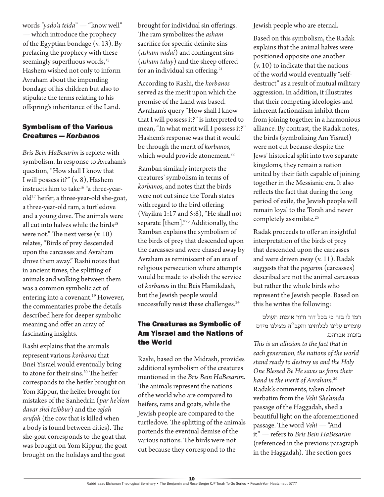words *"yado'a teida*" — "know well" — which introduce the prophecy of the Egyptian bondage (v. 13). By prefacing the prophecy with these seemingly superfluous words,<sup>15</sup> Hashem wished not only to inform Avraham about the impending bondage of his children but also to stipulate the terms relating to his offspring's inheritance of the Land.

#### Symbolism of the Various Creatures — *Korbanos*

*Bris Bein HaBesarim* is replete with symbolism. In response to Avraham's question, "How shall I know that I will possess it?" (v. 8), Hashem instructs him to take<sup>16</sup> "a three-yearold<sup>17</sup> heifer, a three-year-old she-goat, a three-year-old ram, a turtledove and a young dove. The animals were all cut into halves while the birds $18$ were not." The next verse (v. 10) relates, "Birds of prey descended upon the carcasses and Avraham drove them away." Rashi notes that in ancient times, the splitting of animals and walking between them was a common symbolic act of entering into a covenant.<sup>19</sup> However, the commentaries probe the details described here for deeper symbolic meaning and offer an array of fascinating insights.

Rashi explains that the animals represent various *korbanos* that Bnei Yisrael would eventually bring to atone for their sins.<sup>20</sup> The heifer corresponds to the heifer brought on Yom Kippur, the heifer brought for mistakes of the Sanhedrin (*par he'elem davar shel tzibbur*) and the *eglah arufah* (the cow that is killed when a body is found between cities). The she-goat corresponds to the goat that was brought on Yom Kippur, the goat brought on the holidays and the goat

brought for individual sin offerings. The ram symbolizes the *asham* sacrifice for specific definite sins (*asham vadai*) and contingent sins (*asham taluy*) and the sheep offered for an individual sin offering.<sup>21</sup>

According to Rashi, the *korbanos* served as the merit upon which the promise of the Land was based. Avraham's query "How shall I know that I will possess it?" is interpreted to mean, "In what merit will I possess it?" Hashem's response was that it would be through the merit of *korbanos*, which would provide atonement.<sup>22</sup>

Ramban similarly interprets the creatures' symbolism in terms of *korbanos*, and notes that the birds were not cut since the Torah states with regard to the bird offering (Vayikra 1:17 and 5:8), "He shall not separate [them]."23 Additionally, the Ramban explains the symbolism of the birds of prey that descended upon the carcasses and were chased away by Avraham as reminiscent of an era of religious persecution where attempts would be made to abolish the service of *korbanos* in the Beis Hamikdash, but the Jewish people would successfully resist these challenges.<sup>24</sup>

### The Creatures as Symbolic of Am Yisrael and the Nations of the World

Rashi, based on the Midrash, provides additional symbolism of the creatures mentioned in the *Bris Bein HaBesarim*. The animals represent the nations of the world who are compared to heifers, rams and goats, while the Jewish people are compared to the turtledove. The splitting of the animals portends the eventual demise of the various nations. The birds were not cut because they correspond to the

Jewish people who are eternal.

Based on this symbolism, the Radak explains that the animal halves were positioned opposite one another (v. 10) to indicate that the nations of the world would eventually "selfdestruct" as a result of mutual military aggression. In addition, it illustrates that their competing ideologies and inherent factionalism inhibit them from joining together in a harmonious alliance. By contrast, the Radak notes, the birds (symbolizing Am Yisrael) were not cut because despite the Jews' historical split into two separate kingdoms, they remain a nation united by their faith capable of joining together in the Messianic era. It also reflects the fact that during the long period of exile, the Jewish people will remain loyal to the Torah and never completely assimilate.<sup>25</sup>

Radak proceeds to offer an insightful interpretation of the birds of prey that descended upon the carcasses and were driven away (v. 11). Radak suggests that the *pegarim* (carcasses) described are not the animal carcasses but rather the whole birds who represent the Jewish people. Based on this he writes the following:

רמז לו בזה כי בכל דור ודור אומות העולם עומדים עלינו לכלותינו והקב"ה מצילנו מידם בזכות אברהם.

*This is an allusion to the fact that in each generation, the nations of the world stand ready to destroy us and the Holy One Blessed Be He saves us from their hand in the merit of Avraham.<sup>26</sup>* Radak's comments, taken almost verbatim from the *Vehi She'amda* passage of the Haggadah, shed a beautiful light on the aforementioned passage. The word *Vehi* - "And it" — refers to *Bris Bein HaBesarim* (referenced in the previous paragraph in the Haggadah). The section goes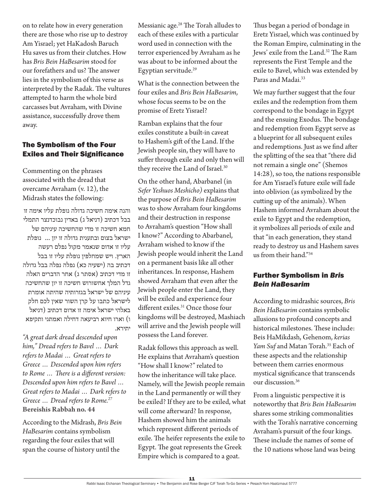on to relate how in every generation there are those who rise up to destroy Am Yisrael; yet HaKadosh Baruch Hu saves us from their clutches. How has *Bris Bein HaBesarim* stood for our forefathers and us? The answer lies in the symbolism of this verse as interpreted by the Radak. The vultures attempted to harm the whole bird carcasses but Avraham, with Divine assistance, successfully drove them away.

#### The Symbolism of the Four Exiles and Their Significance

Commenting on the phrases associated with the dread that overcame Avraham (v. 12), the Midrash states the following:

והנה אימה חשיכה גדולה נופלת עליו אימה זו בבל דכתיב (דניאל ג) באדין נבוכדנצר התמלי חמא חשיכה זו מדי שהחשיכה עיניהם של ישראל בצום ובתענית גדולה זו יון ... נופלת עליו זו אדום שנאמר מקול נפלם רעשה הארץ. ויש שמחלפין נופלת עליו זו בבל דכתיב בה (ישעיה כא) נפלה נפלה בבל גדולה זו מדי דכתיב )אסתר ג( אחר הדברים האלה גדל המלך אחשורוש חשיכה זו יון שהחשיכה עיניהם של ישראל בגזרותיה שהיתה אומרת לישראל כתבו על קרן השור שאין לכם חלק באלהי ישראל אימה זו אדום דכתיב )דניאל ו( וארו חיוא רביעאה דחילה ואמתני ותקיפא יתירא.

*"A great dark dread descended upon him," Dread refers to Bavel … Dark refers to Madai … Great refers to Greece … Descended upon him refers to Rome … There is a different version: Descended upon him refers to Bavel … Great refers to Madai … Dark refers to Greece … Dread refers to Rome.<sup>27</sup>* **Bereishis Rabbah no. 44**

According to the Midrash, *Bris Bein HaBesarim* contains symbolism regarding the four exiles that will span the course of history until the

Messianic age.<sup>28</sup> The Torah alludes to each of these exiles with a particular word used in connection with the terror experienced by Avraham as he was about to be informed about the Egyptian servitude.<sup>29</sup>

What is the connection between the four exiles and *Bris Bein HaBesarim*, whose focus seems to be on the promise of Eretz Yisrael?

Ramban explains that the four exiles constitute a built-in caveat to Hashem's gift of the Land. If the Jewish people sin, they will have to suffer through exile and only then will they receive the Land of Israel.<sup>30</sup>

On the other hand, Abarbanel (in *Sefer Yeshuos Meshicho)* explains that the purpose of *Bris Bein HaBesarim* was to show Avraham four kingdoms and their destruction in response to Avraham's question "How shall I know?" According to Abarbanel, Avraham wished to know if the Jewish people would inherit the Land on a permanent basis like all other inheritances. In response, Hashem showed Avraham that even after the Jewish people enter the Land, they will be exiled and experience four different exiles.<sup>31</sup> Once those four kingdoms will be destroyed, Mashiach will arrive and the Jewish people will possess the Land forever.

Radak follows this approach as well. He explains that Avraham's question "How shall I know?" related to how the inheritance will take place. Namely, will the Jewish people remain in the Land permanently or will they be exiled? If they are to be exiled, what will come afterward? In response, Hashem showed him the animals which represent different periods of exile. The heifer represents the exile to Egypt. The goat represents the Greek Empire which is compared to a goat.

Thus began a period of bondage in Eretz Yisrael, which was continued by the Roman Empire, culminating in the Jews' exile from the Land.32 The Ram represents the First Temple and the exile to Bavel, which was extended by Paras and Madai.<sup>33</sup>

We may further suggest that the four exiles and the redemption from them correspond to the bondage in Egypt and the ensuing Exodus. The bondage and redemption from Egypt serve as a blueprint for all subsequent exiles and redemptions. Just as we find after the splitting of the sea that "there did not remain a single one" (Shemos 14:28), so too, the nations responsible for Am Yisrael's future exile will fade into oblivion (as symbolized by the cutting up of the animals). When Hashem informed Avraham about the exile to Egypt and the redemption, it symbolizes all periods of exile and that "in each generation, they stand ready to destroy us and Hashem saves us from their hand."34

### Further Symbolism in *Bris Bein HaBesarim*

According to midrashic sources, *Bris Bein HaBesarim* contains symbolic allusions to profound concepts and historical milestones. These include: Beis HaMikdash, Gehenom, *kerias*  Yam Suf and Matan Torah.<sup>35</sup> Each of these aspects and the relationship between them carries enormous mystical significance that transcends our discussion.<sup>36</sup>

From a linguistic perspective it is noteworthy that *Bris Bein HaBesarim* shares some striking commonalities with the Torah's narrative concerning Avraham's pursuit of the four kings. These include the names of some of the 10 nations whose land was being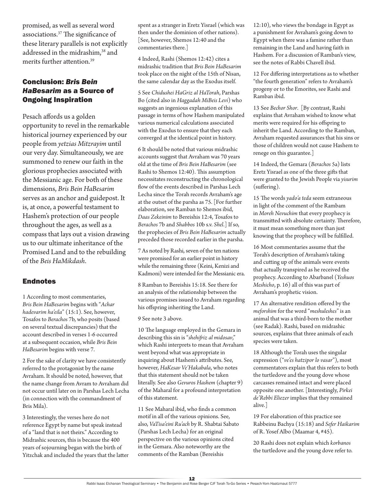promised, as well as several word associations.37 The significance of these literary parallels is not explicitly addressed in the midrashim,<sup>38</sup> and merits further attention.39

## Conclusion: *Bris Bein HaBesarim* as a Source of Ongoing Inspiration

Pesach affords us a golden opportunity to revel in the remarkable historical journey experienced by our people from *yetzias Mitzrayim* until our very day. Simultaneously, we are summoned to renew our faith in the glorious prophecies associated with the Messianic age. For both of these dimensions, *Bris Bein HaBesarim* serves as an anchor and guidepost. It is, at once, a powerful testament to Hashem's protection of our people throughout the ages, as well as a compass that lays out a vision drawing us to our ultimate inheritance of the Promised Land and to the rebuilding of the *Beis HaMikdash*.

### Endnotes

1 According to most commentaries, *Bris Bein HaBesarim* begins with "*Achar hadevarim ha'eila*" (15:1). See, however, Tosafos to *Berachos* 7b, who posits (based on several textual discrepancies) that the account described in verses 1-6 occurred at a subsequent occasion, while *Bris Bein HaBesarim* begins with verse 7.

2 For the sake of clarity we have consistently referred to the protagonist by the name Avraham. It should be noted, however, that the name change from Avram to Avraham did not occur until later on in Parshas Lech Lecha (in connection with the commandment of Bris Mila).

3 Interestingly, the verses here do not reference Egypt by name but speak instead of a "land that is not theirs." According to Midrashic sources, this is because the 400 years of sojourning began with the birth of Yitzchak and included the years that the latter spent as a stranger in Eretz Yisrael (which was then under the dominion of other nations). [See, however, Shemos 12:40 and the commentaries there.]

4 Indeed, Rashi (Shemos 12:42) cites a midrashic tradition that *Bris Bein HaBesarim* took place on the night of the 15th of Nisan, the same calendar day as the Exodus itself.

5 See *Chidushei HaGriz al HaTorah*, Parshas Bo (cited also in *Haggadah MiBeis Levi*) who suggests an ingenious explanation of this passage in terms of how Hashem manipulated various numerical calculations associated with the Exodus to ensure that they each converged at the identical point in history.

6 It should be noted that various midrashic accounts suggest that Avraham was 70 years old at the time of *Bris Bein HaBesarim* (see Rashi to Shemos 12:40). This assumption necessitates reconstructing the chronological flow of the events described in Parshas Lech Lecha since the Torah records Avraham's age at the outset of the parsha as 75. [For further elaboration, see Ramban to Shemos ibid, *Daas Zekeinim* to Bereishis 12:4, Tosafos to *Berachos* 7b and *Shabbos* 10b s.v. *Shel*.] If so, the prophecies of *Bris Bein HaBesarim* actually preceded those recorded earlier in the parsha.

7 As noted by Rashi, seven of the ten nations were promised for an earlier point in history while the remaining three (Keini, Kenizi and Kadmoni) were intended for the Messianic era.

8 Ramban to Bereishis 15:18. See there for an analysis of the relationship between the various promises issued to Avraham regarding his offspring inheriting the Land.

#### 9 See note 3 above.

10 The language employed in the Gemara in describing this sin is "*shehifriz al midosav*," which Rashi interprets to mean that Avraham went beyond what was appropriate in inquiring about Hashem's attributes. See, however, *HaKesav Ve'Hakabala*, who notes that this statement should not be taken literally. See also *Gevuros Hashem* (chapter 9) of the Maharal for a profound interpretation of this statement.

11 See Maharal ibid, who finds a common motif in all of the various opinions. See, also, *VaTisa'eini Ru'ach* by R. Shabtai Sabato (Parshas Lech Lecha) for an original perspective on the various opinions cited in the Gemara. Also noteworthy are the comments of the Ramban (Bereishis

12:10), who views the bondage in Egypt as a punishment for Avraham's going down to Egypt when there was a famine rather than remaining in the Land and having faith in Hashem. For a discussion of Ramban's view, see the notes of Rabbi Chavell ibid.

12 For differing interpretations as to whether "the fourth generation" refers to Avraham's progeny or to the Emorites, see Rashi and Ramban ibid.

13 See *Bechor Shor*. [By contrast, Rashi explains that Avraham wished to know what merits were required for his offspring to inherit the Land. According to the Ramban, Avraham requested assurances that his sins or those of children would not cause Hashem to renege on this guarantee.]

14 Indeed, the Gemara (*Berachos* 5a) lists Eretz Yisrael as one of the three gifts that were granted to the Jewish People via *yisurim* (suffering).

15 The words *yado'a teda* seem extraneous in light of the comment of the Rambam in *Moreh Nevuchim* that every prophecy is transmitted with absolute certainty. Therefore, it must mean something more than just knowing that the prophecy will be fulfilled.

16 Most commentaries assume that the Torah's description of Avraham's taking and cutting up of the animals were events that actually transpired as he received the prophecy. According to Abarbanel (*Yeshuos Meshicho*, p. 16) all of this was part of Avraham's prophetic vision.

17 An alternative rendition offered by the *meforshim* for the word "*meshuleshes*" is an animal that was a third-born to the mother (see Radak). Rashi, based on midrashic sources, explains that three animals of each species were taken.

18 Although the Torah uses the singular expression ("*ve'es hatzipor lo vasar*"), most commentators explain that this refers to both the turtledove and the young dove whose carcasses remained intact and were placed opposite one another. [Interestingly, *Pirkei de'Rebbi Eliezer* implies that they remained alive.]

19 For elaboration of this practice see Rabbeinu Bachya (15:18) and *Sefer Haikarim* of R. Yosef Albo (Maamar 4, #45).

20 Rashi does not explain which *korbanos* the turtledove and the young dove refer to.